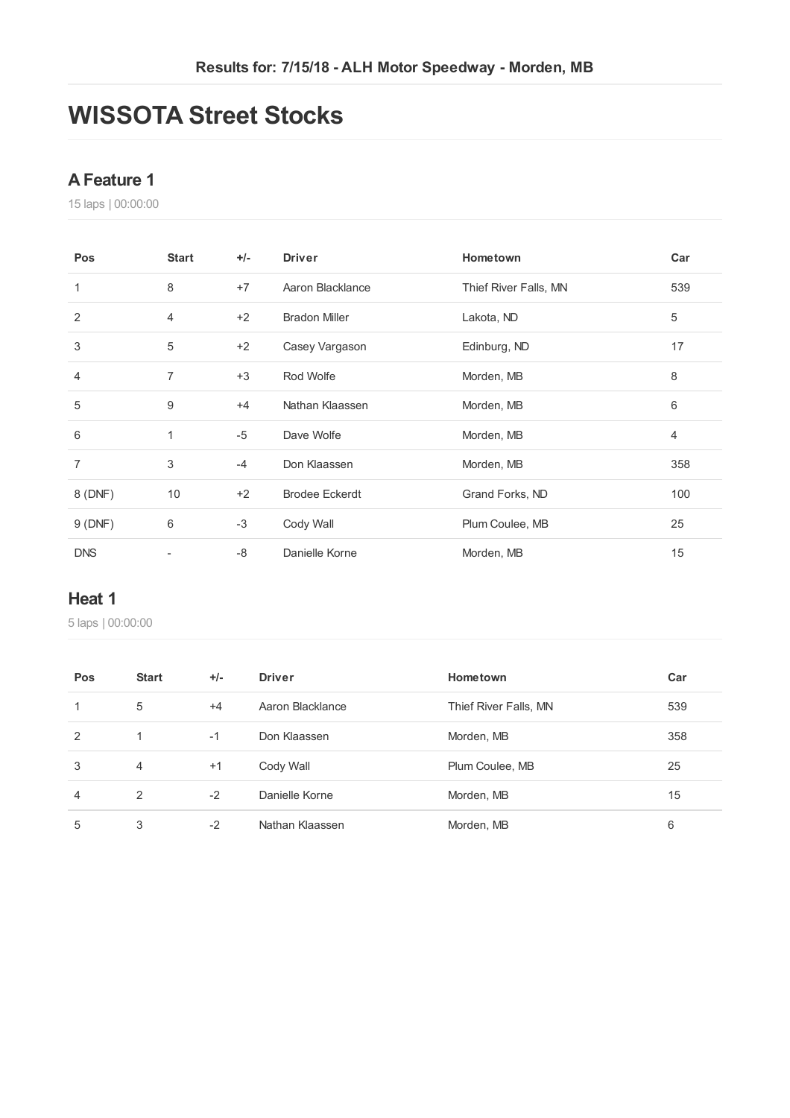## **WISSOTA Street Stocks**

### **AFeature 1**

laps | 00:00:00

| Pos            | <b>Start</b>   | $+/-$ | <b>Driver</b>         | Hometown              | Car            |
|----------------|----------------|-------|-----------------------|-----------------------|----------------|
| 1              | 8              | $+7$  | Aaron Blacklance      | Thief River Falls, MN | 539            |
| $\overline{2}$ | $\overline{4}$ | $+2$  | <b>Bradon Miller</b>  | Lakota, ND            | 5              |
| 3              | 5              | $+2$  | Casey Vargason        | Edinburg, ND          | 17             |
| $\overline{4}$ | $\overline{7}$ | $+3$  | Rod Wolfe             | Morden, MB            | 8              |
| 5              | 9              | $+4$  | Nathan Klaassen       | Morden, MB            | 6              |
| 6              | $\mathbf{1}$   | $-5$  | Dave Wolfe            | Morden, MB            | $\overline{4}$ |
| $\overline{7}$ | 3              | $-4$  | Don Klaassen          | Morden, MB            | 358            |
| 8 (DNF)        | 10             | $+2$  | <b>Brodee Eckerdt</b> | Grand Forks, ND       | 100            |
| 9(DNF)         | 6              | $-3$  | Cody Wall             | Plum Coulee, MB       | 25             |
| <b>DNS</b>     |                | $-8$  | Danielle Korne        | Morden, MB            | 15             |

### **Heat 1**

| Pos            | <b>Start</b>   | $+/-$ | <b>Driver</b>    | Hometown              | Car |
|----------------|----------------|-------|------------------|-----------------------|-----|
| 1              | 5              | $+4$  | Aaron Blacklance | Thief River Falls, MN | 539 |
| 2              |                | $-1$  | Don Klaassen     | Morden, MB            | 358 |
| 3              | $\overline{4}$ | $+1$  | Cody Wall        | Plum Coulee, MB       | 25  |
| $\overline{4}$ | 2              | $-2$  | Danielle Korne   | Morden, MB            | 15  |
| 5              | 3              | $-2$  | Nathan Klaassen  | Morden, MB            | 6   |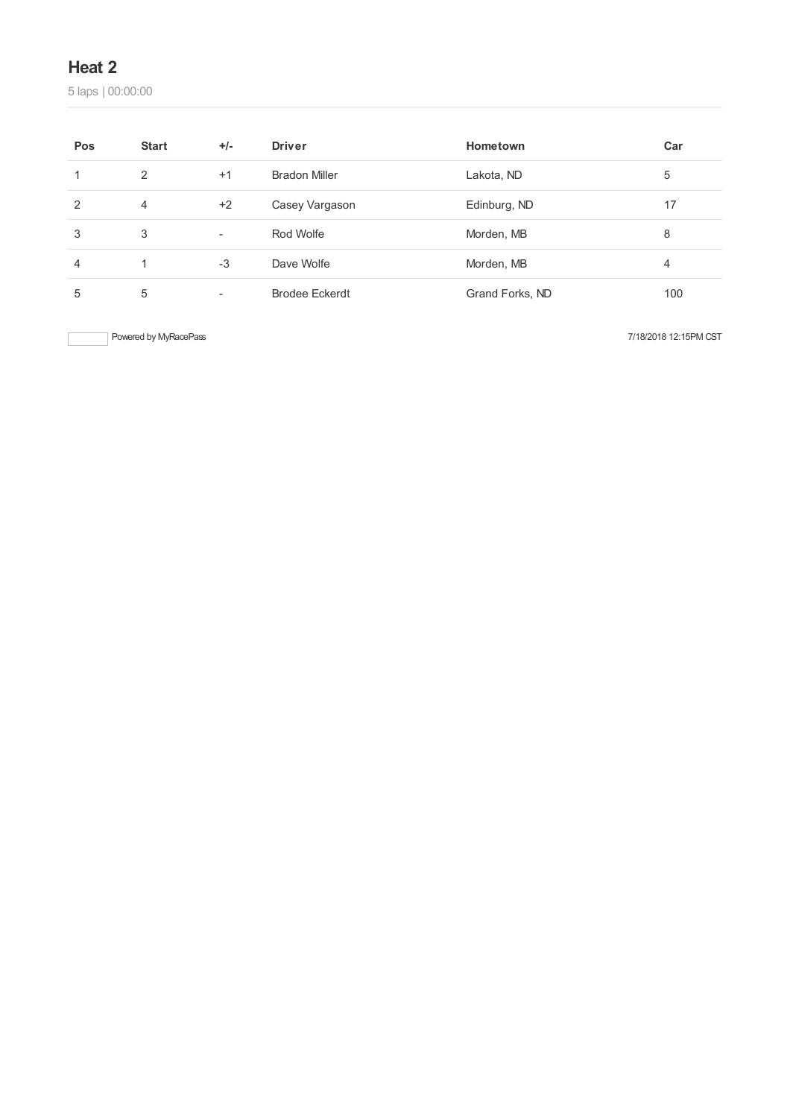laps | 00:00:00

| Pos | <b>Start</b> | $+/-$                    | <b>Driver</b>         | Hometown        | Car |
|-----|--------------|--------------------------|-----------------------|-----------------|-----|
|     | 2            | $+1$                     | <b>Bradon Miller</b>  | Lakota, ND      | 5   |
| 2   | 4            | $+2$                     | Casey Vargason        | Edinburg, ND    | 17  |
| 3   | 3            | $\overline{\phantom{a}}$ | Rod Wolfe             | Morden, MB      | 8   |
| 4   | 1            | $-3$                     | Dave Wolfe            | Morden, MB      | 4   |
| 5   | 5            | $\overline{\phantom{a}}$ | <b>Brodee Eckerdt</b> | Grand Forks, ND | 100 |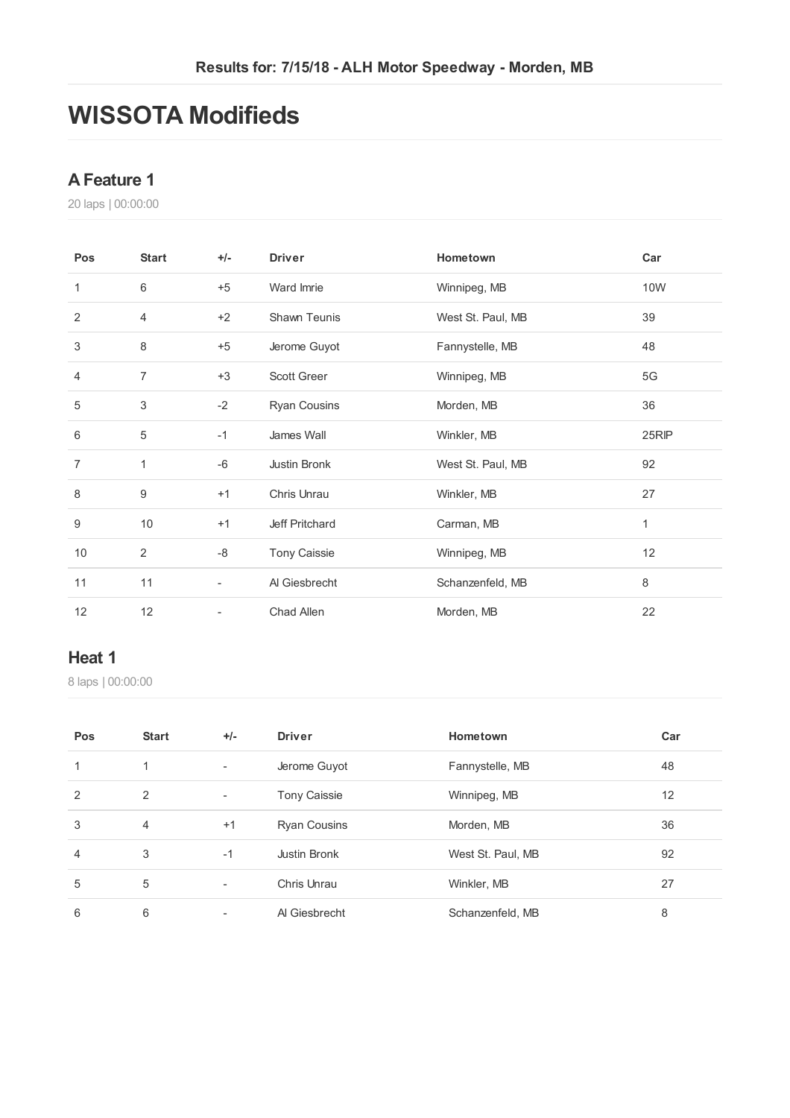## **WISSOTA Modifieds**

### **AFeature 1**

laps | 00:00:00

| Pos            | <b>Start</b>   | $+/-$                    | <b>Driver</b>       | Hometown          | Car   |
|----------------|----------------|--------------------------|---------------------|-------------------|-------|
| $\mathbf{1}$   | 6              | $+5$                     | Ward Imrie          | Winnipeg, MB      | 10W   |
| 2              | $\overline{4}$ | $+2$                     | <b>Shawn Teunis</b> | West St. Paul, MB | 39    |
| 3              | 8              | $+5$                     | Jerome Guyot        | Fannystelle, MB   | 48    |
| $\overline{4}$ | $\overline{7}$ | $+3$                     | <b>Scott Greer</b>  | Winnipeg, MB      | 5G    |
| 5              | 3              | $-2$                     | <b>Ryan Cousins</b> | Morden, MB        | 36    |
| 6              | 5              | $-1$                     | James Wall          | Winkler, MB       | 25RIP |
| $\overline{7}$ | 1              | -6                       | Justin Bronk        | West St. Paul, MB | 92    |
| 8              | 9              | $+1$                     | Chris Unrau         | Winkler, MB       | 27    |
| 9              | 10             | $+1$                     | Jeff Pritchard      | Carman, MB        | 1     |
| 10             | 2              | -8                       | <b>Tony Caissie</b> | Winnipeg, MB      | 12    |
| 11             | 11             | $\overline{\phantom{a}}$ | Al Giesbrecht       | Schanzenfeld, MB  | 8     |
| 12             | 12             | $\overline{\phantom{a}}$ | Chad Allen          | Morden, MB        | 22    |

#### **Heat 1**

| Pos            | <b>Start</b>   | $+/-$                    | <b>Driver</b>       | Hometown          | Car |
|----------------|----------------|--------------------------|---------------------|-------------------|-----|
| 1              | 1              | $\overline{\phantom{a}}$ | Jerome Guyot        | Fannystelle, MB   | 48  |
| 2              | 2              | $\overline{\phantom{0}}$ | <b>Tony Caissie</b> | Winnipeg, MB      | 12  |
| 3              | $\overline{4}$ | $+1$                     | <b>Ryan Cousins</b> | Morden, MB        | 36  |
| $\overline{4}$ | 3              | $-1$                     | Justin Bronk        | West St. Paul, MB | 92  |
| 5              | 5              | $\overline{\phantom{0}}$ | Chris Unrau         | Winkler, MB       | 27  |
| 6              | 6              |                          | Al Giesbrecht       | Schanzenfeld, MB  | 8   |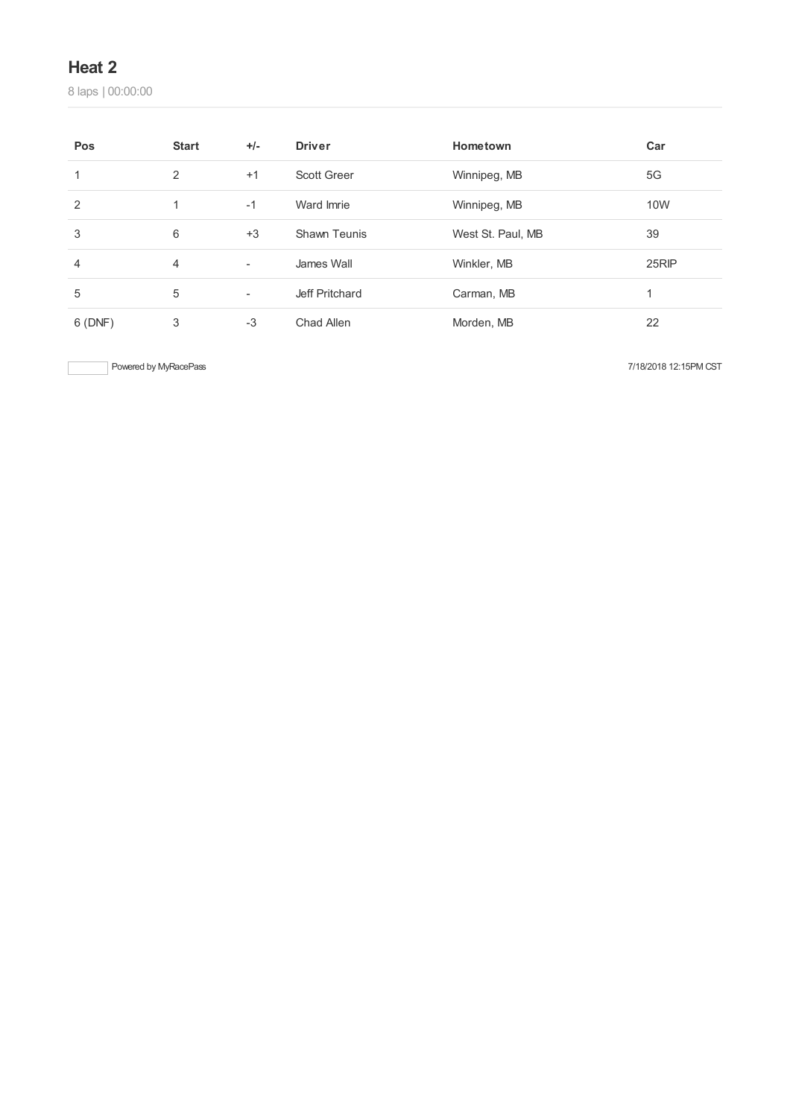laps | 00:00:00

| Pos            | <b>Start</b> | $+/-$                    | <b>Driver</b>      | Hometown          | Car   |
|----------------|--------------|--------------------------|--------------------|-------------------|-------|
|                | 2            | $+1$                     | <b>Scott Greer</b> | Winnipeg, MB      | 5G    |
| 2              |              | $-1$                     | Ward Imrie         | Winnipeg, MB      | 10W   |
| 3              | 6            | $+3$                     | Shawn Teunis       | West St. Paul, MB | 39    |
| $\overline{4}$ | 4            | $\overline{\phantom{a}}$ | James Wall         | Winkler, MB       | 25RIP |
| 5              | 5            | $\overline{\phantom{a}}$ | Jeff Pritchard     | Carman, MB        |       |
| 6(DNF)         | 3            | $-3$                     | Chad Allen         | Morden, MB        | 22    |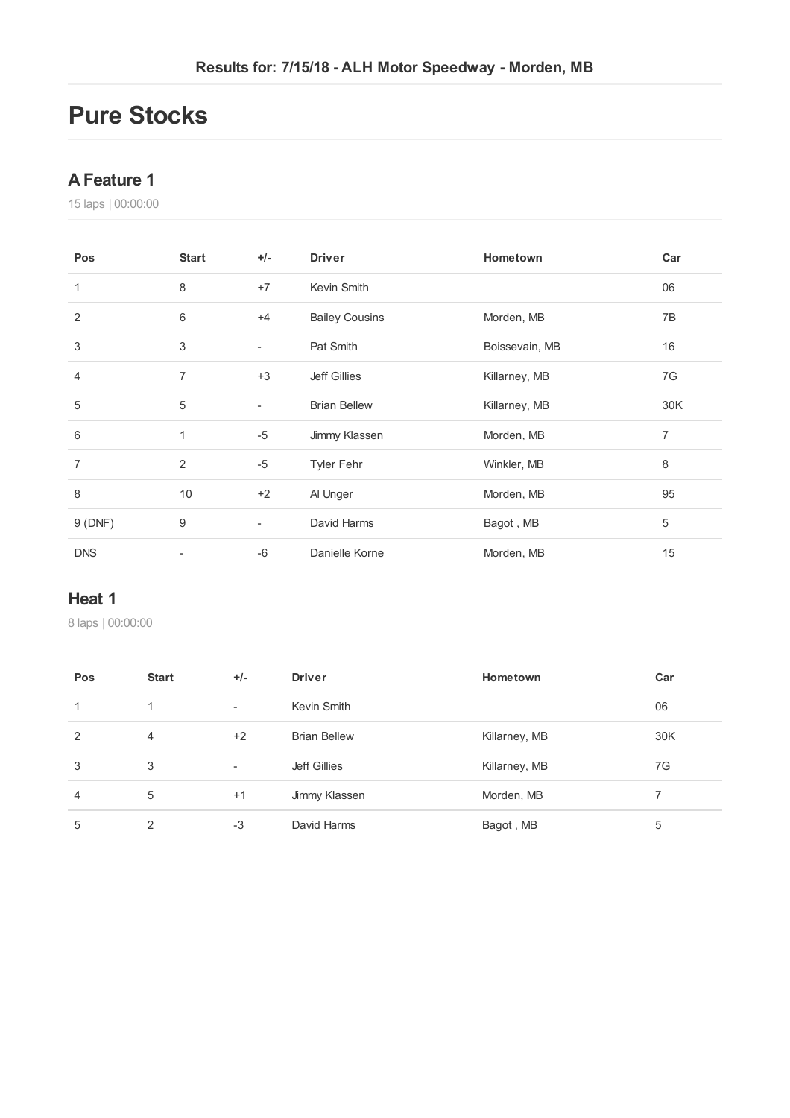## **Pure Stocks**

### **AFeature 1**

laps | 00:00:00

| Pos            | <b>Start</b> | $+/-$                    | <b>Driver</b>         | Hometown       | Car     |
|----------------|--------------|--------------------------|-----------------------|----------------|---------|
| 1              | 8            | $+7$                     | Kevin Smith           |                | 06      |
| 2              | 6            | $+4$                     | <b>Bailey Cousins</b> | Morden, MB     | 7B      |
| 3              | 3            | $\overline{\phantom{a}}$ | Pat Smith             | Boissevain, MB | 16      |
| 4              | 7            | $+3$                     | <b>Jeff Gillies</b>   | Killarney, MB  | 7G      |
| 5              | 5            | $\overline{\phantom{a}}$ | <b>Brian Bellew</b>   | Killarney, MB  | 30K     |
| 6              | 1            | $-5$                     | Jimmy Klassen         | Morden, MB     | 7       |
| $\overline{7}$ | 2            | $-5$                     | <b>Tyler Fehr</b>     | Winkler, MB    | $\,8\,$ |
| 8              | 10           | $+2$                     | Al Unger              | Morden, MB     | 95      |
| 9(DNF)         | 9            | $\overline{\phantom{a}}$ | David Harms           | Bagot, MB      | 5       |
| <b>DNS</b>     | ٠            | $-6$                     | Danielle Korne        | Morden, MB     | 15      |

### **Heat 1**

| Pos            | <b>Start</b>   | $+/-$                    | <b>Driver</b>       | Hometown      | Car |
|----------------|----------------|--------------------------|---------------------|---------------|-----|
|                |                | $\overline{\phantom{a}}$ | Kevin Smith         |               | 06  |
| $\overline{2}$ | $\overline{4}$ | $+2$                     | <b>Brian Bellew</b> | Killarney, MB | 30K |
| 3              | 3              | $\overline{\phantom{a}}$ | Jeff Gillies        | Killarney, MB | 7G  |
| $\overline{4}$ | 5              | $+1$                     | Jimmy Klassen       | Morden, MB    |     |
| 5              | ◠              | $-3$                     | David Harms         | Bagot, MB     | 5   |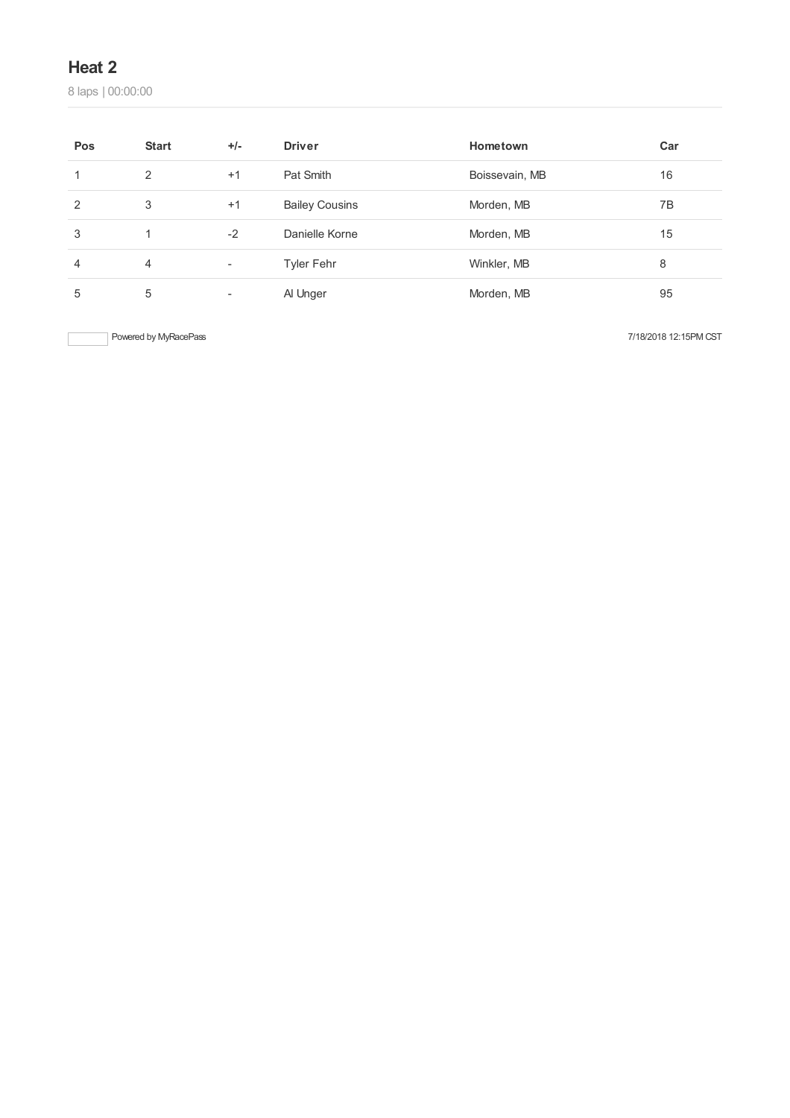laps | 00:00:00

| Pos | <b>Start</b> | $+/-$                    | <b>Driver</b>         | Hometown       | Car |
|-----|--------------|--------------------------|-----------------------|----------------|-----|
|     | 2            | $+1$                     | Pat Smith             | Boissevain, MB | 16  |
| 2   | 3            | $+1$                     | <b>Bailey Cousins</b> | Morden, MB     | 7B  |
| 3   |              | $-2$                     | Danielle Korne        | Morden, MB     | 15  |
| 4   | 4            | $\overline{\phantom{a}}$ | <b>Tyler Fehr</b>     | Winkler, MB    | 8   |
| 5   | 5            | $\overline{\phantom{a}}$ | Al Unger              | Morden, MB     | 95  |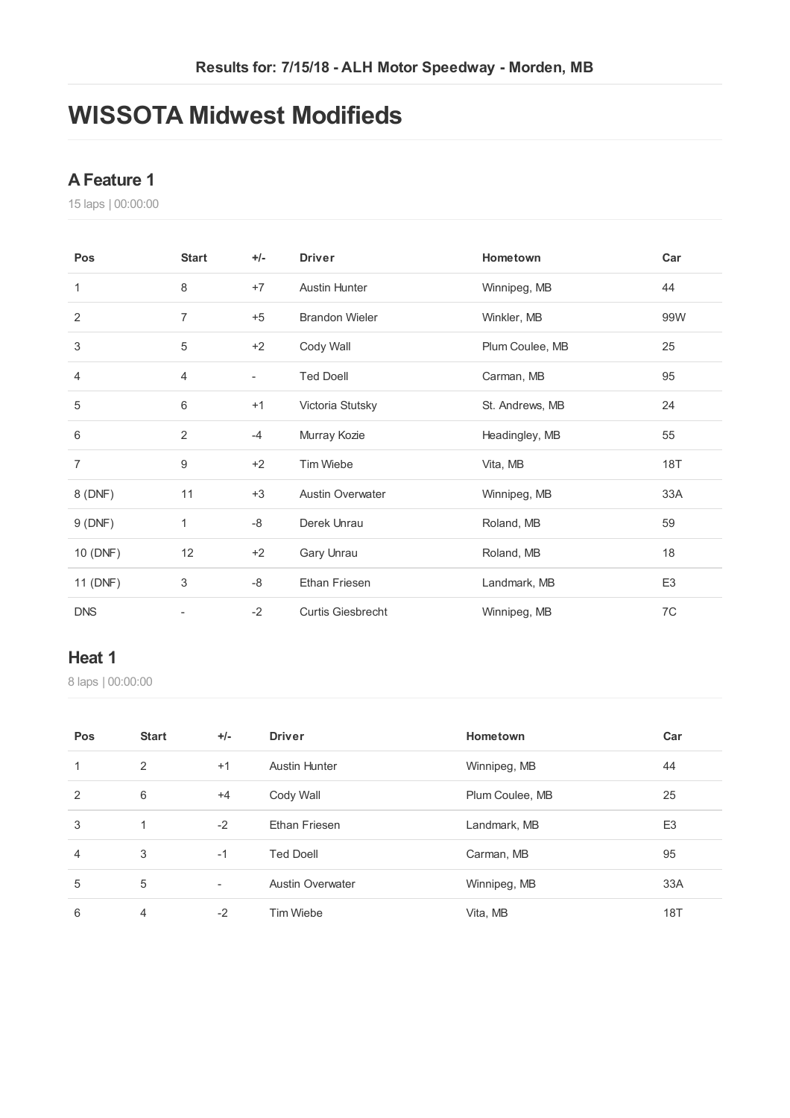## **WISSOTA Midwest Modifieds**

### **AFeature 1**

laps | 00:00:00

| Pos            | <b>Start</b>   | $+/-$                    | <b>Driver</b>            | Hometown        | Car            |
|----------------|----------------|--------------------------|--------------------------|-----------------|----------------|
| 1              | 8              | $+7$                     | <b>Austin Hunter</b>     | Winnipeg, MB    | 44             |
| 2              | $\overline{7}$ | $+5$                     | <b>Brandon Wieler</b>    | Winkler, MB     | 99W            |
| 3              | 5              | $+2$                     | Cody Wall                | Plum Coulee, MB | 25             |
| 4              | 4              | $\overline{\phantom{a}}$ | <b>Ted Doell</b>         | Carman, MB      | 95             |
| 5              | 6              | $+1$                     | Victoria Stutsky         | St. Andrews, MB | 24             |
| 6              | $\overline{2}$ | $-4$                     | Murray Kozie             | Headingley, MB  | 55             |
| $\overline{7}$ | 9              | $+2$                     | Tim Wiebe                | Vita, MB        | 18T            |
| 8 (DNF)        | 11             | $+3$                     | <b>Austin Overwater</b>  | Winnipeg, MB    | 33A            |
| 9(DNF)         | 1              | -8                       | Derek Unrau              | Roland, MB      | 59             |
| 10 (DNF)       | 12             | $+2$                     | Gary Unrau               | Roland, MB      | 18             |
| 11 (DNF)       | 3              | -8                       | <b>Ethan Friesen</b>     | Landmark, MB    | E <sub>3</sub> |
| <b>DNS</b>     |                | $-2$                     | <b>Curtis Giesbrecht</b> | Winnipeg, MB    | 7C             |

#### **Heat 1**

| Pos            | <b>Start</b>   | $+/-$                    | <b>Driver</b>           | Hometown        | Car            |
|----------------|----------------|--------------------------|-------------------------|-----------------|----------------|
| 1              | 2              | $+1$                     | <b>Austin Hunter</b>    | Winnipeg, MB    | 44             |
| 2              | 6              | $+4$                     | Cody Wall               | Plum Coulee, MB | 25             |
| 3              | 1              | $-2$                     | <b>Ethan Friesen</b>    | Landmark, MB    | E <sub>3</sub> |
| $\overline{4}$ | 3              | $-1$                     | <b>Ted Doell</b>        | Carman, MB      | 95             |
| 5              | 5              | $\overline{\phantom{a}}$ | <b>Austin Overwater</b> | Winnipeg, MB    | 33A            |
| 6              | $\overline{4}$ | $-2$                     | Tim Wiebe               | Vita, MB        | 18T            |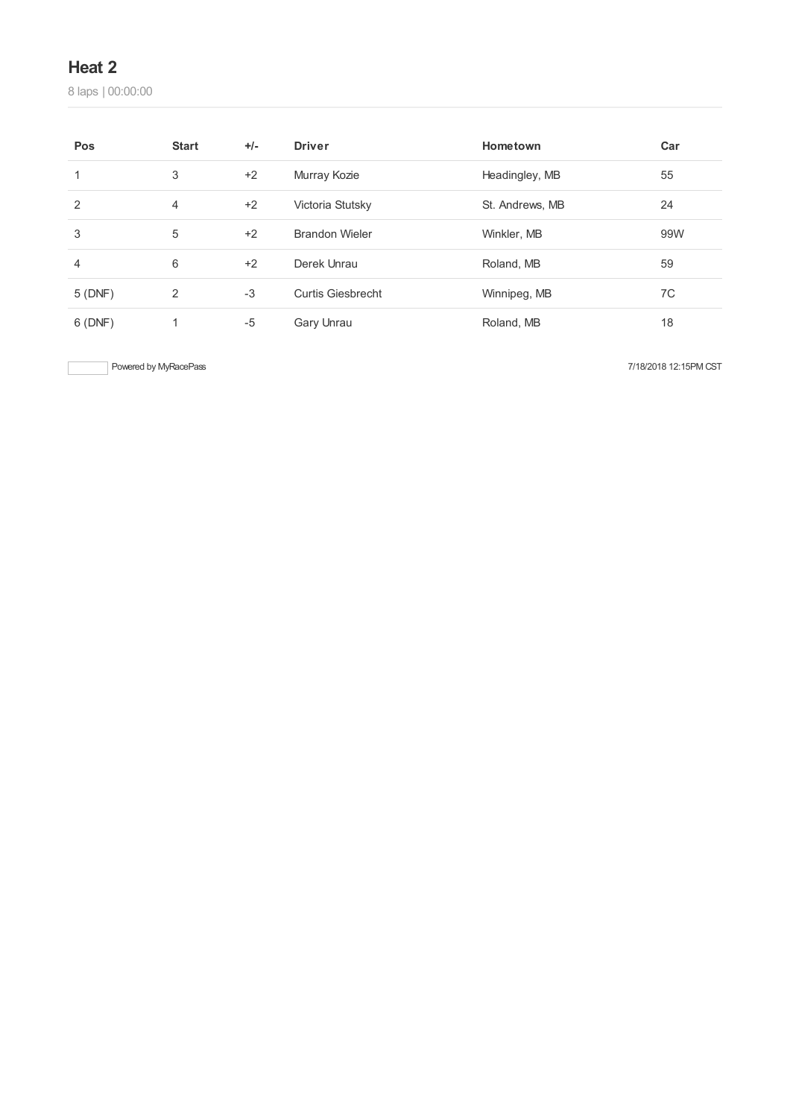laps | 00:00:00

| Pos    | <b>Start</b> | $+/-$ | <b>Driver</b>            | Hometown        | Car |
|--------|--------------|-------|--------------------------|-----------------|-----|
| 1      | 3            | $+2$  | Murray Kozie             | Headingley, MB  | 55  |
| 2      | 4            | $+2$  | Victoria Stutsky         | St. Andrews, MB | 24  |
| 3      | 5            | $+2$  | <b>Brandon Wieler</b>    | Winkler, MB     | 99W |
| 4      | 6            | $+2$  | Derek Unrau              | Roland, MB      | 59  |
| 5(DNF) | 2            | $-3$  | <b>Curtis Giesbrecht</b> | Winnipeg, MB    | 7C  |
| 6(DNF) | 1            | $-5$  | Gary Unrau               | Roland, MB      | 18  |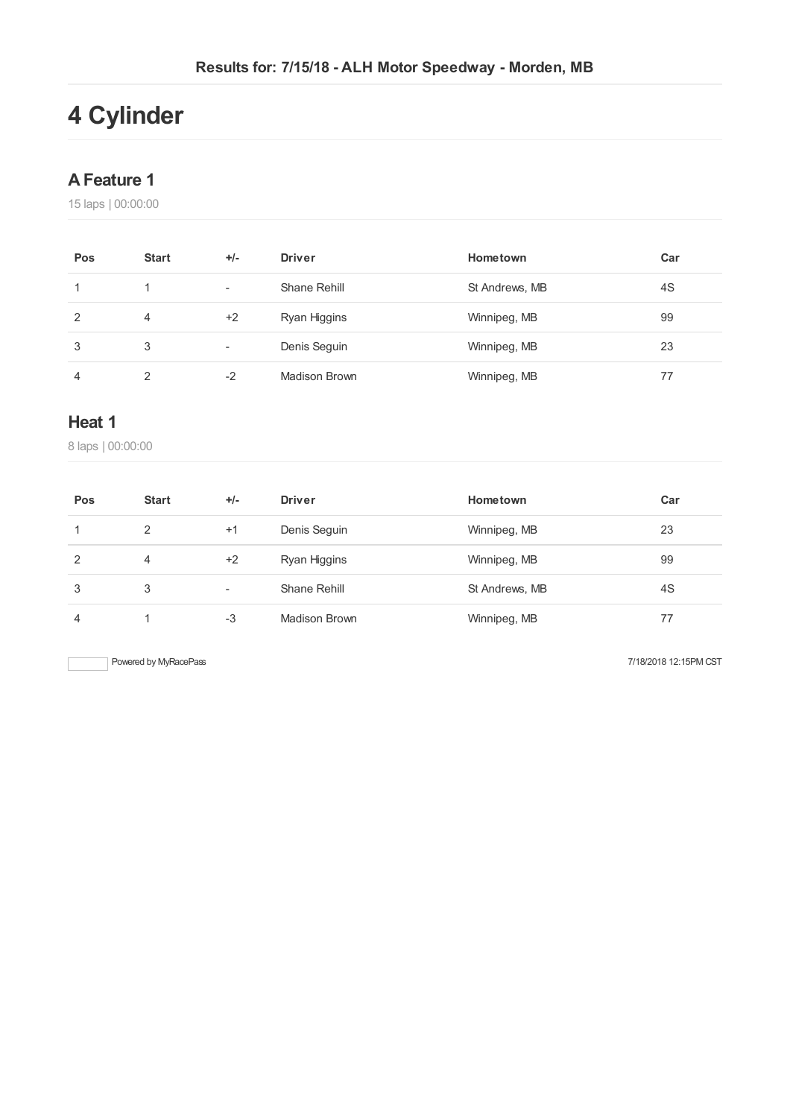# **Cylinder**

## **AFeature 1**

laps | 00:00:00

| Pos | <b>Start</b> | $+/-$                    | <b>Driver</b> | Hometown       | Car |
|-----|--------------|--------------------------|---------------|----------------|-----|
|     |              | $\overline{\phantom{a}}$ | Shane Rehill  | St Andrews, MB | 4S  |
| 2   | 4            | $+2$                     | Ryan Higgins  | Winnipeg, MB   | 99  |
| 3   | 3            | -                        | Denis Seguin  | Winnipeg, MB   | 23  |
| 4   | ◠            | -2                       | Madison Brown | Winnipeg, MB   | 77  |

## **Heat 1**

laps | 00:00:00

| Pos | <b>Start</b> | $+/-$ | <b>Driver</b> | Hometown       | Car |
|-----|--------------|-------|---------------|----------------|-----|
|     | 2            | $+1$  | Denis Seguin  | Winnipeg, MB   | 23  |
| 2   | 4            | $+2$  | Ryan Higgins  | Winnipeg, MB   | 99  |
| 3   | 3            | -     | Shane Rehill  | St Andrews, MB | 4S  |
| 4   |              | -3    | Madison Brown | Winnipeg, MB   | 77  |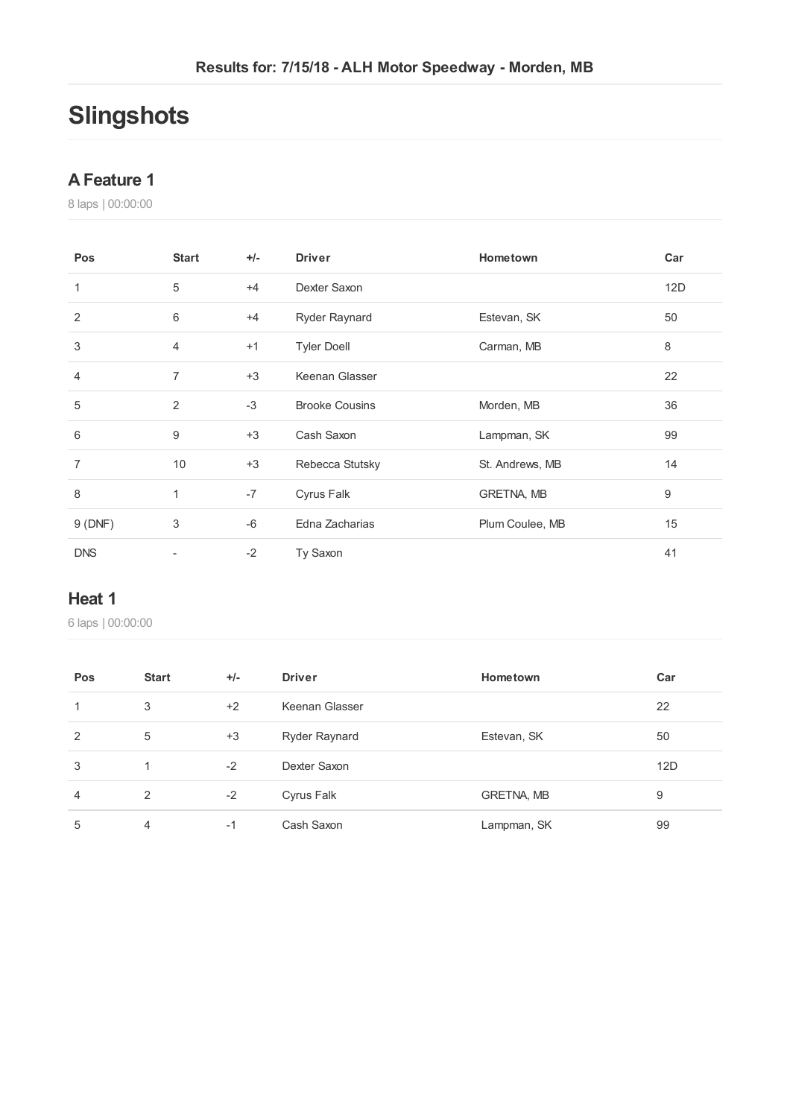# **Slingshots**

#### **AFeature 1**

laps | 00:00:00

| Pos        | <b>Start</b>   | $+/-$ | <b>Driver</b>         | Hometown        | Car |
|------------|----------------|-------|-----------------------|-----------------|-----|
| 1          | 5              | $+4$  | Dexter Saxon          |                 | 12D |
| 2          | 6              | $+4$  | Ryder Raynard         | Estevan, SK     | 50  |
| 3          | 4              | $+1$  | <b>Tyler Doell</b>    | Carman, MB      | 8   |
| 4          | $\overline{7}$ | $+3$  | Keenan Glasser        |                 | 22  |
| 5          | 2              | $-3$  | <b>Brooke Cousins</b> | Morden, MB      | 36  |
| 6          | 9              | $+3$  | Cash Saxon            | Lampman, SK     | 99  |
| 7          | 10             | $+3$  | Rebecca Stutsky       | St. Andrews, MB | 14  |
| 8          | 1              | $-7$  | Cyrus Falk            | GRETNA, MB      | 9   |
| 9(DNF)     | 3              | $-6$  | Edna Zacharias        | Plum Coulee, MB | 15  |
| <b>DNS</b> |                | $-2$  | Ty Saxon              |                 | 41  |

### **Heat 1**

| Pos            | <b>Start</b> | $+/-$ | <b>Driver</b>        | Hometown    | Car |
|----------------|--------------|-------|----------------------|-------------|-----|
|                | 3            | $+2$  | Keenan Glasser       |             | 22  |
| 2              | 5            | $+3$  | <b>Ryder Raynard</b> | Estevan, SK | 50  |
| 3              | -1           | $-2$  | Dexter Saxon         |             | 12D |
| $\overline{4}$ | 2            | $-2$  | Cyrus Falk           | GRETNA, MB  | 9   |
| 5              | 4            | -1    | Cash Saxon           | Lampman, SK | 99  |